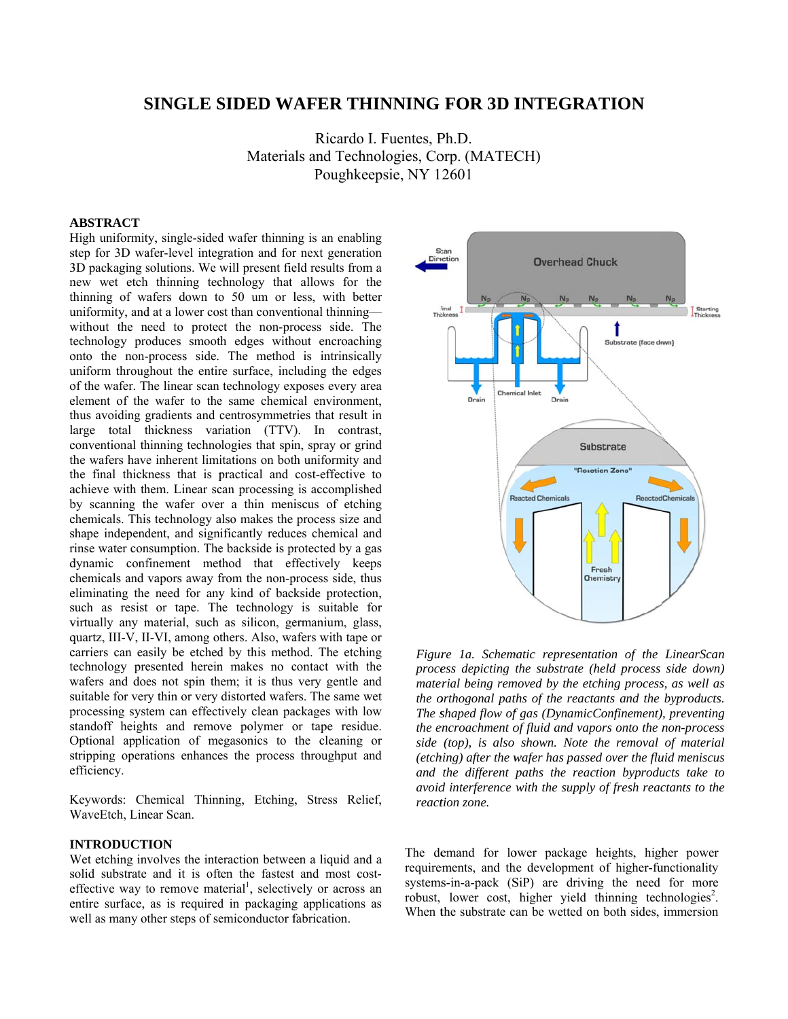# **SINGLE SIDED WAFER THINNING FOR 3D INTEGRATION**

Materials and Technologies, Corp. (MATECH) Ricardo I. Fuentes, Ph.D. Poughke epsie, NY 1 2601

### **A ABSTRACT**

High uniformity, single-sided wafer thinning is an enabling step for 3D wafer-level integration and for next generation 3D packaging solutions. We will present field results from a new wet etch thinning technology that allows for the thinning of wafers down to 50 um or less, with better uniformity, and at a lower cost than conventional thinningwithout the need to protect the non-process side. The technology produces smooth edges without encroaching onto the non-process side. The method is intrinsically uniform throughout the entire surface, including the edges of the wafer. The linear scan technology exposes every area element of the wafer to the same chemical environment, thus avoiding gradients and centrosymmetries that result in large total thickness variation (TTV). In contrast, conventional thinning technologies that spin, spray or grind the wafers have inherent limitations on both uniformity and th he final thick kness that is p practical and cost-effective to achieve with them. Linear scan processing is accomplished by scanning the wafer over a thin meniscus of etching chemicals. This technology also makes the process size and shape independent, and significantly reduces chemical and rinse water consumption. The backside is protected by a gas dynamic confinement method that effectively keeps chemicals and vapors away from the non-process side, thus eliminating the need for any kind of backside protection, such as resist or tape. The technology is suitable for virtually any material, such as silicon, germanium, glass, quartz, III-V, II-VI, among others. Also, wafers with tape or carriers can easily be etched by this method. The etching technology presented herein makes no contact with the wafers and does not spin them; it is thus very gentle and suitable for very thin or very distorted wafers. The same wet processing system can effectively clean packages with low standoff heights and remove polymer or tape residue. Optional application of megasonics to the cleaning or stripping operations enhances the process throughput and e efficiency.

Keywords: Chemical Thinning, Etching, Stress Relief, WaveEtch, Linear Scan.

#### **I INTRODUCT TION**

Wet etching involves the interaction between a liquid and a solid substrate and it is often the fastest and most costeffective way to remove material<sup>1</sup>, selectively or across an entire surface, as is required in packaging applications as well as many other steps of semiconductor fabrication.



Figure 1a. Schematic representation of the LinearScan process depicting the substrate (held process side down) *material being removed by the etching process, as well as the orthogonal paths of the reactants and the byproducts. The s shaped flow of f gas (Dynamic cConfinement) , preventing the encroachment of fluid and vapors onto the non-process side (top), is also shown. Note the removal of material*  (*etching*) after the wafer has passed over the fluid meniscus *and the different paths the reaction byproducts take to dionid interference with the supply of fresh reactants to the react tion zone.* 

The demand for lower package heights, higher power requirements, and the development of higher-functionality systems-in-a-pack (SiP) are driving the need for more robust, lower cost, higher yield thinning technologies<sup>2</sup>. When the substrate can be wetted on both sides, immersion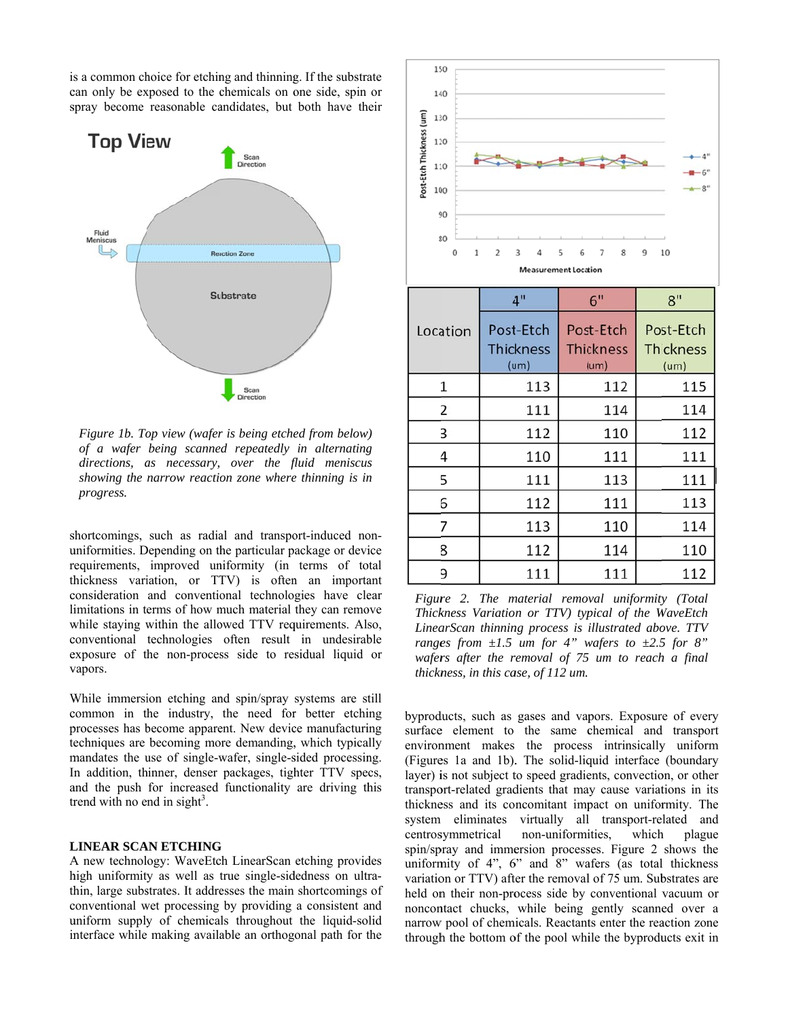is a common choice for etching and thinning. If the substra can only be exposed to the chemicals on one side, spin or spray become reasonable candidates, but both have their trate<br>n or<br>their<br>*ws*<br>*in* 



*Figure 1b. Top view (wafer is being etched from below) of a wafer being scanne d repeatedly in alternating directions, a as necessary, over the f fluid meniscus* showing the narrow reaction zone where thinning is in *progress.* 

shortcomings, such as radial and transport-induced nonuniformities. Depending on the particular package or device requirements, improved uniformity (in terms of total thickness variation, or TTV) is often an important consideration and conventional technologies have clear limitations in terms of how much material they can remove while staying within the allowed TTV requirements. Also, conventional technologies often result in undesirable exposure of the non-process side to residual liquid or v vapors.

While immersion etching and spin/spray systems are still common in the industry, the need for better etching processes has become apparent. New device manufacturing techniques are becoming more demanding, which typically mandates the use of single-wafer, single-sided processing. In addition, thinner, denser packages, tighter TTV specs, a and the push for increased functionality are driving th his trend with no end in sight<sup>3</sup>.

#### **LINEAR SCAN ETCHING**

A new technology: WaveEtch LinearScan etching provides high uniformity as well as true single-sidedness on ultrathin, large substrates. It addresses the main shortcomings of conventional wet processing by providing a consistent and uniform supply of chemicals throughout the liquid-solid interface while making available an orthogonal path for the



*Figure 2. The material removal uniformity (Total Thick kness Variatio n or TTV) typ pical of the W WaveEtch*  LinearScan thinning process is illustrated above. TTV *ranges from*  $\pm 1.5$  *um for 4" wafers to*  $\pm 2.5$  *for* 8" wafers after the removal of 75 um to reach a final *thickness, in this case, of 112 um.* 

byproducts, such as gases and vapors. Exposure of every surface element to the same chemical and transport environment makes the process intrinsically uniform (Figures 1a and 1b). The solid-liquid interface (boundary layer) is not subject to speed gradients, convection, or other transport-related gradients that may cause variations in its thickness and its concomitant impact on uniformity. The system eliminates virtually all transport-related and centros symmetrical spin/spray and immersion processes. Figure 2 shows the uniformity of 4", 6" and 8" wafers (as total thickness variation or TTV) after the removal of 75 um. Substrates are held on their non-process side by conventional vacuum or noncontact chucks, while being gently scanned over a narrow pool of chemicals. Reactants enter the reaction zone through the bottom of the pool while the byproducts exit in non-uniformi which plague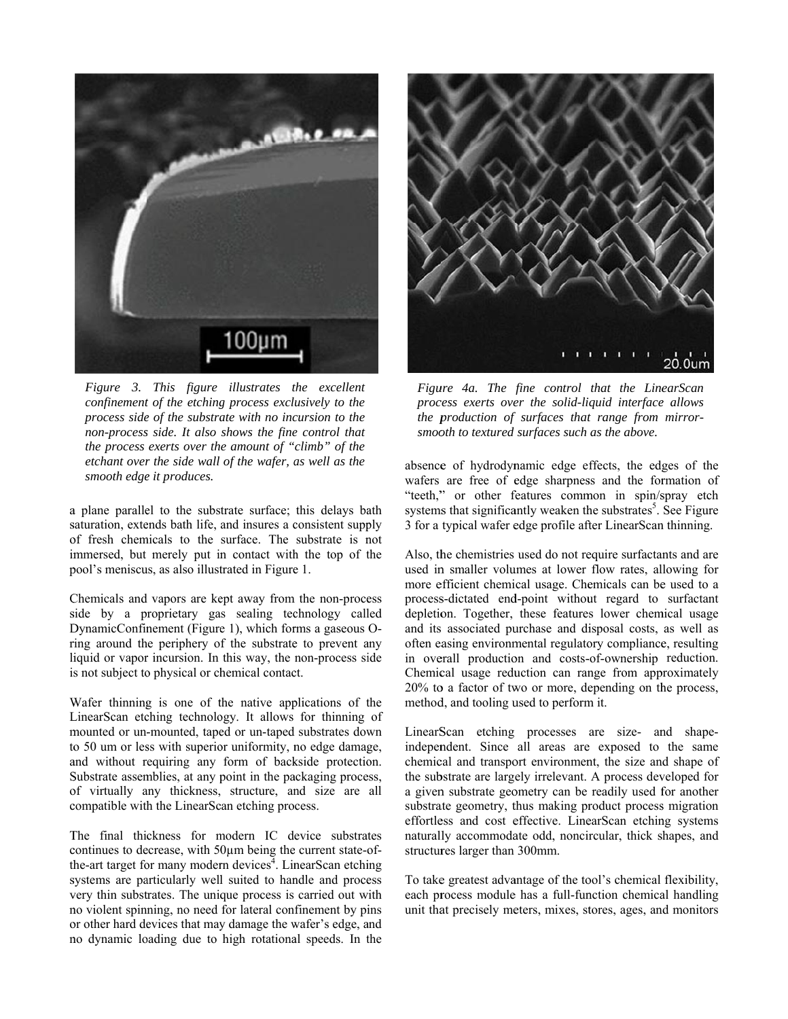

Figure 3. This figure illustrates the excellent confinement of the etching process exclusively to the process side of the substrate with no incursion to the non-process side. It also shows the fine control that the process exerts over the amount of "climb" of the etchant over the side wall of the wafer, as well as the smooth edge it produces.

a plane parallel to the substrate surface; this delays bath saturation, extends bath life, and insures a consistent supply of fresh chemicals to the surface. The substrate is not immersed, but merely put in contact with the top of the pool's meniscus, as also illustrated in Figure 1.

Chemicals and vapors are kept away from the non-process side by a proprietary gas sealing technology called DynamicConfinement (Figure 1), which forms a gaseous Oring around the periphery of the substrate to prevent any liquid or vapor incursion. In this way, the non-process side is not subject to physical or chemical contact.

Wafer thinning is one of the native applications of the LinearScan etching technology. It allows for thinning of mounted or un-mounted, taped or un-taped substrates down to 50 um or less with superior uniformity, no edge damage, and without requiring any form of backside protection. Substrate assemblies, at any point in the packaging process, of virtually any thickness, structure, and size are all compatible with the LinearScan etching process.

The final thickness for modern IC device substrates continues to decrease, with 50µm being the current state-ofthe-art target for many modern devices<sup> $\frac{1}{4}$ </sup>. LinearScan etching systems are particularly well suited to handle and process very thin substrates. The unique process is carried out with no violent spinning, no need for lateral confinement by pins or other hard devices that may damage the wafer's edge, and no dynamic loading due to high rotational speeds. In the



Figure 4a. The fine control that the LinearScan process exerts over the solid-liquid interface allows the production of surfaces that range from mirrorsmooth to textured surfaces such as the above.

absence of hydrodynamic edge effects, the edges of the wafers are free of edge sharpness and the formation of "teeth," or other features common in spin/spray etch systems that significantly weaken the substrates<sup>5</sup>. See Figure 3 for a typical wafer edge profile after LinearScan thinning.

Also, the chemistries used do not require surfactants and are used in smaller volumes at lower flow rates, allowing for more efficient chemical usage. Chemicals can be used to a process-dictated end-point without regard to surfactant depletion. Together, these features lower chemical usage and its associated purchase and disposal costs, as well as often easing environmental regulatory compliance, resulting in overall production and costs-of-ownership reduction. Chemical usage reduction can range from approximately 20% to a factor of two or more, depending on the process, method, and tooling used to perform it.

LinearScan etching processes are size- and shapeindependent. Since all areas are exposed to the same chemical and transport environment, the size and shape of the substrate are largely irrelevant. A process developed for a given substrate geometry can be readily used for another substrate geometry, thus making product process migration effortless and cost effective. LinearScan etching systems naturally accommodate odd, noncircular, thick shapes, and structures larger than 300mm.

To take greatest advantage of the tool's chemical flexibility, each process module has a full-function chemical handling unit that precisely meters, mixes, stores, ages, and monitors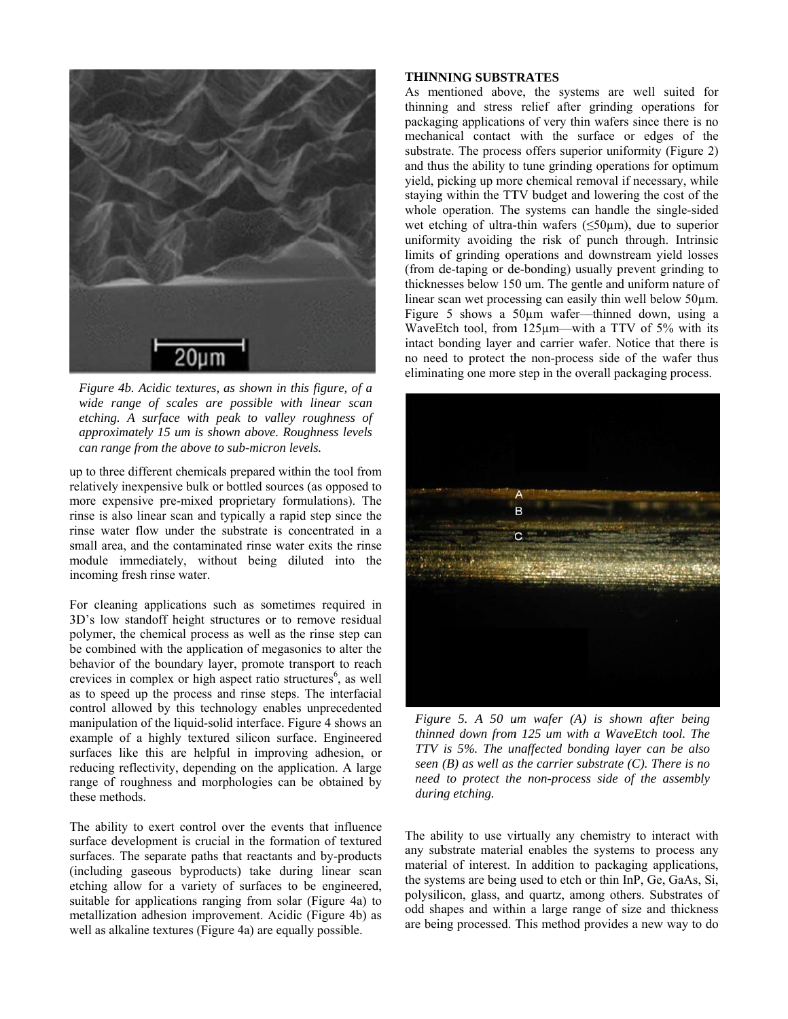

Figure 4b. Acidic textures, as shown in this figure, of a wide range of scales are possible with linear scan etching. A surface with peak to valley roughness of approximately 15 um is shown above. Roughness levels can range from the above to sub-micron levels.

up to three different chemicals prepared within the tool from relatively inexpensive bulk or bottled sources (as opposed to more expensive pre-mixed proprietary formulations). The rinse is also linear scan and typically a rapid step since the rinse water flow under the substrate is concentrated in a small area, and the contaminated rinse water exits the rinse module immediately, without being diluted into the incoming fresh rinse water.

For cleaning applications such as sometimes required in 3D's low standoff height structures or to remove residual polymer, the chemical process as well as the rinse step can be combined with the application of megasonics to alter the behavior of the boundary layer, promote transport to reach crevices in complex or high aspect ratio structures<sup>6</sup>, as well as to speed up the process and rinse steps. The interfacial control allowed by this technology enables unprecedented manipulation of the liquid-solid interface. Figure 4 shows an example of a highly textured silicon surface. Engineered surfaces like this are helpful in improving adhesion, or reducing reflectivity, depending on the application. A large range of roughness and morphologies can be obtained by these methods.

The ability to exert control over the events that influence surface development is crucial in the formation of textured surfaces. The separate paths that reactants and by-products (including gaseous byproducts) take during linear scan etching allow for a variety of surfaces to be engineered, suitable for applications ranging from solar (Figure 4a) to metallization adhesion improvement. Acidic (Figure 4b) as well as alkaline textures (Figure 4a) are equally possible.

## **THINNING SUBSTRATES**

As mentioned above, the systems are well suited for thinning and stress relief after grinding operations for packaging applications of very thin wafers since there is no mechanical contact with the surface or edges of the substrate. The process offers superior uniformity (Figure 2) and thus the ability to tune grinding operations for optimum yield, picking up more chemical removal if necessary, while staying within the TTV budget and lowering the cost of the whole operation. The systems can handle the single-sided wet etching of ultra-thin wafers  $(\leq 50 \,\mu\text{m})$ , due to superior uniformity avoiding the risk of punch through. Intrinsic limits of grinding operations and downstream vield losses (from de-taping or de-bonding) usually prevent grinding to thicknesses below 150 um. The gentle and uniform nature of linear scan wet processing can easily thin well below 50 µm. Figure 5 shows a  $50\mu m$  wafer—thinned down, using a WaveEtch tool, from 125um—with a TTV of 5% with its intact bonding layer and carrier wafer. Notice that there is no need to protect the non-process side of the wafer thus eliminating one more step in the overall packaging process.



Figure 5. A 50 um wafer  $(A)$  is shown after being thinned down from 125 um with a WaveEtch tool. The TTV is 5%. The unaffected bonding layer can be also seen  $(B)$  as well as the carrier substrate  $(C)$ . There is no need to protect the non-process side of the assembly during etching.

The ability to use virtually any chemistry to interact with any substrate material enables the systems to process any material of interest. In addition to packaging applications, the systems are being used to etch or thin InP, Ge, GaAs, Si, polysilicon, glass, and quartz, among others. Substrates of odd shapes and within a large range of size and thickness are being processed. This method provides a new way to do